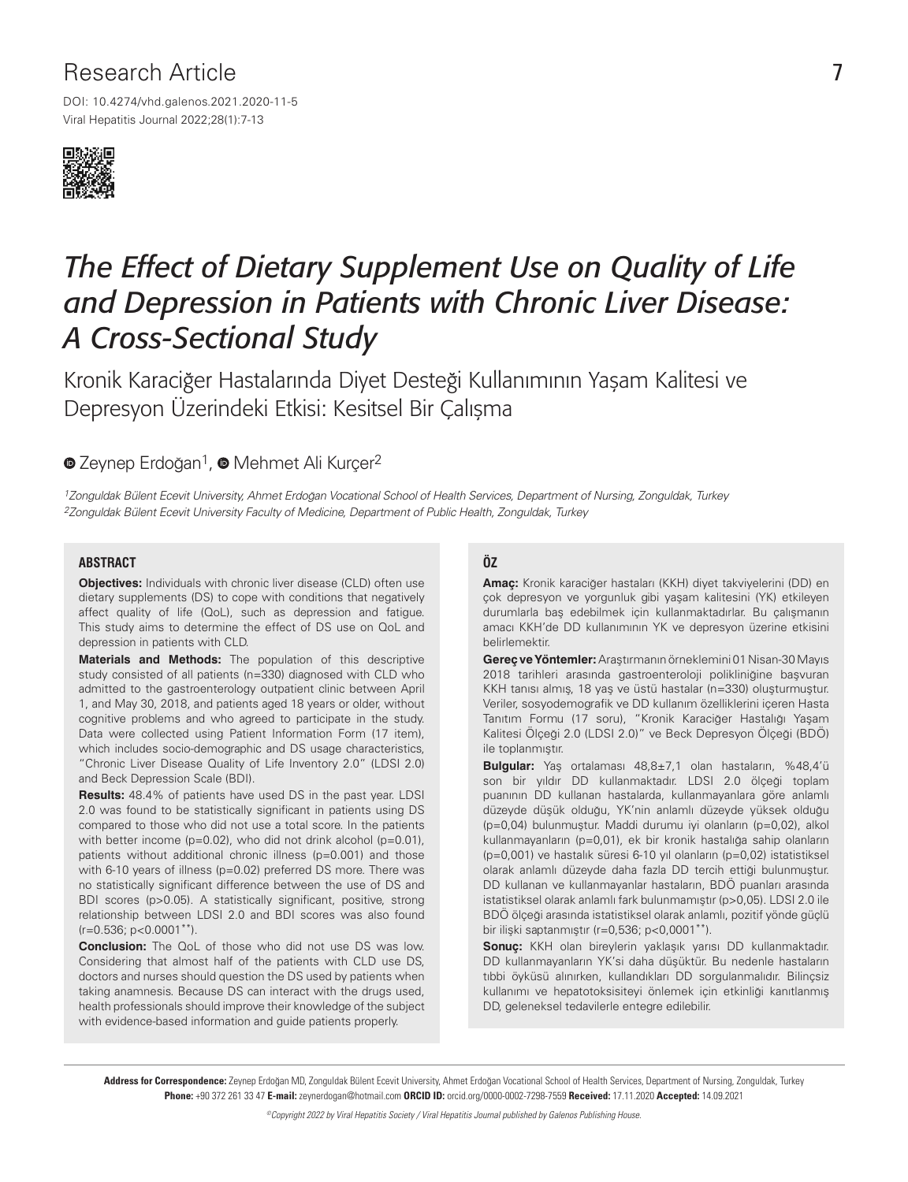# Research Article

DOI: 10.4274/vhd.galenos.2021.2020-11-5 Viral Hepatitis Journal 2022;28(1):7-13



# *The Effect of Dietary Supplement Use on Quality of Life and Depression in Patients with Chronic Liver Disease: A Cross-Sectional Study*

Kronik Karaciğer Hastalarında Diyet Desteği Kullanımının Yaşam Kalitesi ve Depresyon Üzerindeki Etkisi: Kesitsel Bir Çalışma

# <sup>■</sup>ZeynepErdoğan<sup>1</sup>, <sup>■</sup>Mehmet Ali Kurcer<sup>2</sup>

1Zonguldak Bülent Ecevit University, Ahmet Erdoğan Vocational School of Health Services, Department of Nursing, Zonguldak, Turkey 2Zonguldak Bülent Ecevit University Faculty of Medicine, Department of Public Health, Zonguldak, Turkey

#### **ABSTRACT**

**Objectives:** Individuals with chronic liver disease (CLD) often use dietary supplements (DS) to cope with conditions that negatively affect quality of life (QoL), such as depression and fatigue. This study aims to determine the effect of DS use on QoL and depression in patients with CLD.

**Materials and Methods:** The population of this descriptive study consisted of all patients (n=330) diagnosed with CLD who admitted to the gastroenterology outpatient clinic between April 1, and May 30, 2018, and patients aged 18 years or older, without cognitive problems and who agreed to participate in the study. Data were collected using Patient Information Form (17 item), which includes socio-demographic and DS usage characteristics, "Chronic Liver Disease Quality of Life Inventory 2.0" (LDSI 2.0) and Beck Depression Scale (BDI).

**Results:** 48.4% of patients have used DS in the past year. LDSI 2.0 was found to be statistically significant in patients using DS compared to those who did not use a total score. In the patients with better income (p=0.02), who did not drink alcohol (p=0.01), patients without additional chronic illness (p=0.001) and those with 6-10 years of illness (p=0.02) preferred DS more. There was no statistically significant difference between the use of DS and BDI scores (p>0.05). A statistically significant, positive, strong relationship between LDSI 2.0 and BDI scores was also found  $(r=0.536; p<0.0001**)$ .

**Conclusion:** The QoL of those who did not use DS was low. Considering that almost half of the patients with CLD use DS, doctors and nurses should question the DS used by patients when taking anamnesis. Because DS can interact with the drugs used, health professionals should improve their knowledge of the subject with evidence-based information and guide patients properly.

#### **ÖZ**

**Amaç:** Kronik karaciğer hastaları (KKH) diyet takviyelerini (DD) en çok depresyon ve yorgunluk gibi yaşam kalitesini (YK) etkileyen durumlarla baş edebilmek için kullanmaktadırlar. Bu çalışmanın amacı KKH'de DD kullanımının YK ve depresyon üzerine etkisini belirlemektir.

**Gereç ve Yöntemler:** Araştırmanın örneklemini 01 Nisan-30 Mayıs 2018 tarihleri arasında gastroenteroloji polikliniğine başvuran KKH tanısı almış, 18 yaş ve üstü hastalar (n=330) oluşturmuştur. Veriler, sosyodemografik ve DD kullanım özelliklerini içeren Hasta Tanıtım Formu (17 soru), "Kronik Karaciğer Hastalığı Yaşam Kalitesi Ölçeği 2.0 (LDSI 2.0)" ve Beck Depresyon Ölçeği (BDÖ) ile toplanmıştır.

**Bulgular:** Yaş ortalaması 48,8±7,1 olan hastaların, %48,4'ü son bir yıldır DD kullanmaktadır. LDSI 2.0 ölçeği toplam puanının DD kullanan hastalarda, kullanmayanlara göre anlamlı düzeyde düşük olduğu, YK'nin anlamlı düzeyde yüksek olduğu (p=0,04) bulunmuştur. Maddi durumu iyi olanların (p=0,02), alkol kullanmayanların (p=0,01), ek bir kronik hastalığa sahip olanların (p=0,001) ve hastalık süresi 6-10 yıl olanların (p=0,02) istatistiksel olarak anlamlı düzeyde daha fazla DD tercih ettiği bulunmuştur. DD kullanan ve kullanmayanlar hastaların, BDÖ puanları arasında istatistiksel olarak anlamlı fark bulunmamıştır (p>0,05). LDSI 2.0 ile BDÖ ölçeği arasında istatistiksel olarak anlamlı, pozitif yönde güçlü bir ilişki saptanmıştır (r=0,536; p<0,0001\*\*).

**Sonuç:** KKH olan bireylerin yaklaşık yarısı DD kullanmaktadır. DD kullanmayanların YK'si daha düşüktür. Bu nedenle hastaların tıbbi öyküsü alınırken, kullandıkları DD sorgulanmalıdır. Bilinçsiz kullanımı ve hepatotoksisiteyi önlemek için etkinliği kanıtlanmış DD, geleneksel tedavilerle entegre edilebilir.

Address for Correspondence: Zeynep Erdoğan MD, Zonguldak Bülent Ecevit University, Ahmet Erdoğan Vocational School of Health Services, Department of Nursing, Zonguldak, Turkey Phone: +90 372 261 33 47 E-mail: zeynerdogan@hotmail.com ORCID ID: orcid.org/0000-0002-7298-7559 Received: 17.11.2020 Accepted: 14.09.2021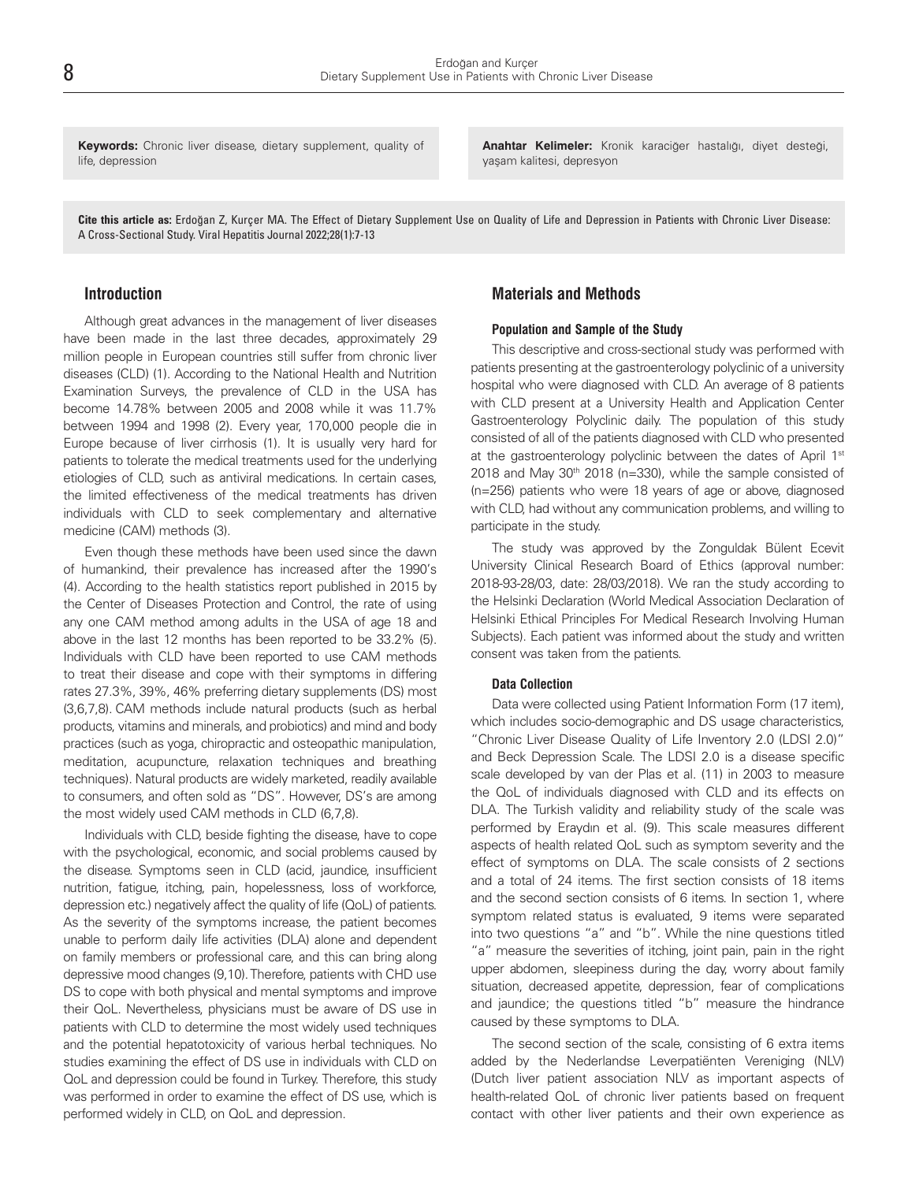**Keywords:** Chronic liver disease, dietary supplement, quality of life, depression

**Anahtar Kelimeler:** Kronik karaciğer hastalığı, diyet desteği, yaşam kalitesi, depresyon

Cite this article as: Erdoğan Z, Kurçer MA. The Effect of Dietary Supplement Use on Quality of Life and Depression in Patients with Chronic Liver Disease: A Cross-Sectional Study. Viral Hepatitis Journal 2022;28(1):7-13

#### **Introduction**

Although great advances in the management of liver diseases have been made in the last three decades, approximately 29 million people in European countries still suffer from chronic liver diseases (CLD) (1). According to the National Health and Nutrition Examination Surveys, the prevalence of CLD in the USA has become 14.78% between 2005 and 2008 while it was 11.7% between 1994 and 1998 (2). Every year, 170,000 people die in Europe because of liver cirrhosis (1). It is usually very hard for patients to tolerate the medical treatments used for the underlying etiologies of CLD, such as antiviral medications. In certain cases, the limited effectiveness of the medical treatments has driven individuals with CLD to seek complementary and alternative medicine (CAM) methods (3).

Even though these methods have been used since the dawn of humankind, their prevalence has increased after the 1990's (4). According to the health statistics report published in 2015 by the Center of Diseases Protection and Control, the rate of using any one CAM method among adults in the USA of age 18 and above in the last 12 months has been reported to be 33.2% (5). Individuals with CLD have been reported to use CAM methods to treat their disease and cope with their symptoms in differing rates 27.3%, 39%, 46% preferring dietary supplements (DS) most (3,6,7,8). CAM methods include natural products (such as herbal products, vitamins and minerals, and probiotics) and mind and body practices (such as yoga, chiropractic and osteopathic manipulation, meditation, acupuncture, relaxation techniques and breathing techniques). Natural products are widely marketed, readily available to consumers, and often sold as "DS". However, DS's are among the most widely used CAM methods in CLD (6,7,8).

Individuals with CLD, beside fighting the disease, have to cope with the psychological, economic, and social problems caused by the disease. Symptoms seen in CLD (acid, jaundice, insufficient nutrition, fatigue, itching, pain, hopelessness, loss of workforce, depression etc.) negatively affect the quality of life (QoL) of patients. As the severity of the symptoms increase, the patient becomes unable to perform daily life activities (DLA) alone and dependent on family members or professional care, and this can bring along depressive mood changes (9,10).Therefore, patients with CHD use DS to cope with both physical and mental symptoms and improve their QoL. Nevertheless, physicians must be aware of DS use in patients with CLD to determine the most widely used techniques and the potential hepatotoxicity of various herbal techniques. No studies examining the effect of DS use in individuals with CLD on QoL and depression could be found in Turkey. Therefore, this study was performed in order to examine the effect of DS use, which is performed widely in CLD, on QoL and depression.

## **Materials and Methods**

#### **Population and Sample of the Study**

This descriptive and cross-sectional study was performed with patients presenting at the gastroenterology polyclinic of a university hospital who were diagnosed with CLD. An average of 8 patients with CLD present at a University Health and Application Center Gastroenterology Polyclinic daily. The population of this study consisted of all of the patients diagnosed with CLD who presented at the gastroenterology polyclinic between the dates of April 1<sup>st</sup> 2018 and May  $30<sup>th</sup>$  2018 (n=330), while the sample consisted of (n=256) patients who were 18 years of age or above, diagnosed with CLD, had without any communication problems, and willing to participate in the study.

The study was approved by the Zonguldak Bülent Ecevit University Clinical Research Board of Ethics (approval number: 2018-93-28/03, date: 28/03/2018). We ran the study according to the Helsinki Declaration (World Medical Association Declaration of Helsinki Ethical Principles For Medical Research Involving Human Subjects). Each patient was informed about the study and written consent was taken from the patients.

#### **Data Collection**

Data were collected using Patient Information Form (17 item), which includes socio-demographic and DS usage characteristics, "Chronic Liver Disease Quality of Life Inventory 2.0 (LDSI 2.0)" and Beck Depression Scale. The LDSI 2.0 is a disease specific scale developed by van der Plas et al. (11) in 2003 to measure the QoL of individuals diagnosed with CLD and its effects on DLA. The Turkish validity and reliability study of the scale was performed by Eraydın et al. (9). This scale measures different aspects of health related QoL such as symptom severity and the effect of symptoms on DLA. The scale consists of 2 sections and a total of 24 items. The first section consists of 18 items and the second section consists of 6 items. In section 1, where symptom related status is evaluated, 9 items were separated into two questions "a" and "b". While the nine questions titled "a" measure the severities of itching, joint pain, pain in the right upper abdomen, sleepiness during the day, worry about family situation, decreased appetite, depression, fear of complications and jaundice; the questions titled "b" measure the hindrance caused by these symptoms to DLA.

The second section of the scale, consisting of 6 extra items added by the Nederlandse Leverpatiënten Vereniging (NLV) (Dutch liver patient association NLV as important aspects of health-related QoL of chronic liver patients based on frequent contact with other liver patients and their own experience as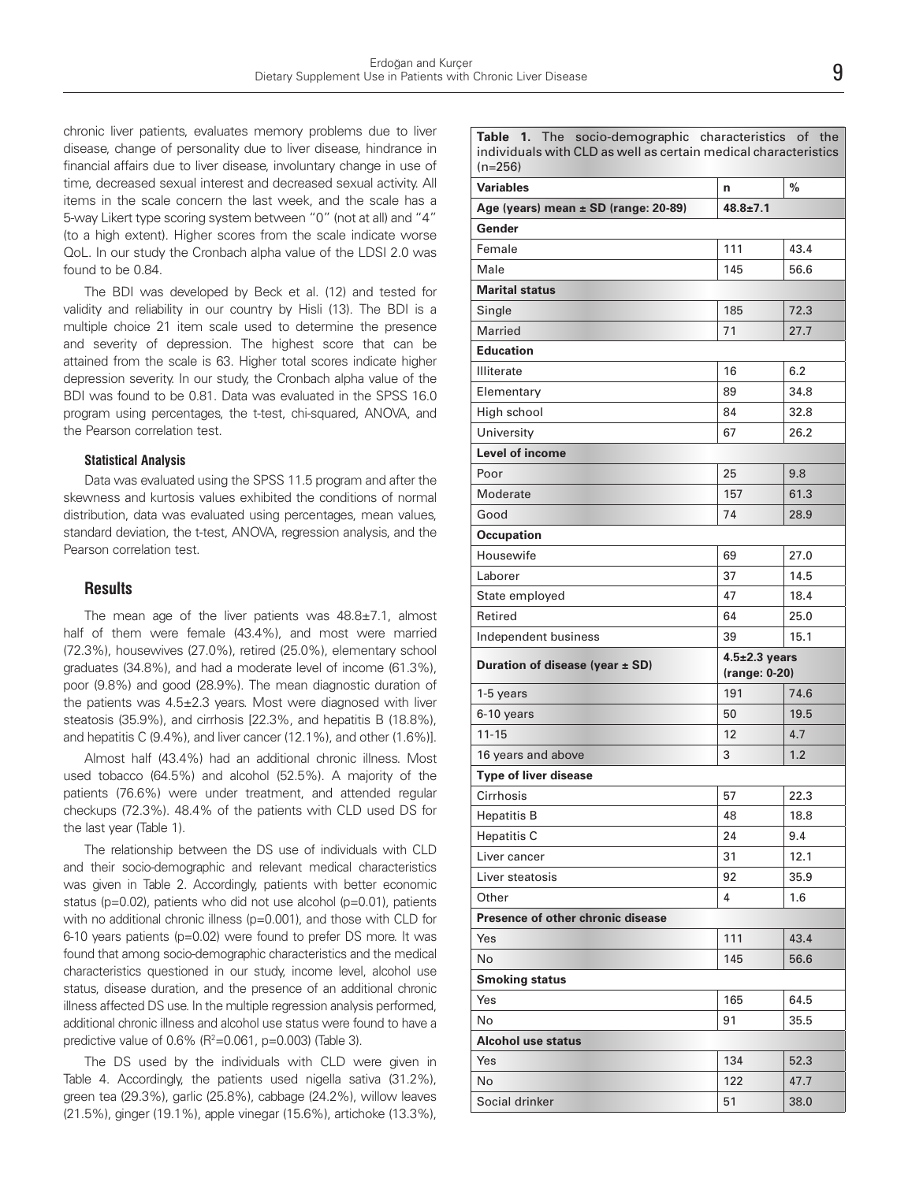chronic liver patients, evaluates memory problems due to liver disease, change of personality due to liver disease, hindrance in financial affairs due to liver disease, involuntary change in use of time, decreased sexual interest and decreased sexual activity. All items in the scale concern the last week, and the scale has a 5-way Likert type scoring system between "0" (not at all) and "4" (to a high extent). Higher scores from the scale indicate worse QoL. In our study the Cronbach alpha value of the LDSI 2.0 was found to be 0.84.

The BDI was developed by Beck et al. (12) and tested for validity and reliability in our country by Hisli (13). The BDI is a multiple choice 21 item scale used to determine the presence and severity of depression. The highest score that can be attained from the scale is 63. Higher total scores indicate higher depression severity. In our study, the Cronbach alpha value of the BDI was found to be 0.81. Data was evaluated in the SPSS 16.0 program using percentages, the t-test, chi-squared, ANOVA, and the Pearson correlation test.

#### **Statistical Analysis**

Data was evaluated using the SPSS 11.5 program and after the skewness and kurtosis values exhibited the conditions of normal distribution, data was evaluated using percentages, mean values, standard deviation, the t-test, ANOVA, regression analysis, and the Pearson correlation test.

#### **Results**

The mean age of the liver patients was  $48.8 \pm 7.1$ , almost half of them were female (43.4%), and most were married (72.3%), housewives (27.0%), retired (25.0%), elementary school graduates (34.8%), and had a moderate level of income (61.3%), poor (9.8%) and good (28.9%). The mean diagnostic duration of the patients was 4.5±2.3 years. Most were diagnosed with liver steatosis (35.9%), and cirrhosis [22.3%, and hepatitis B (18.8%), and hepatitis C (9.4%), and liver cancer (12.1%), and other (1.6%)].

Almost half (43.4%) had an additional chronic illness. Most used tobacco (64.5%) and alcohol (52.5%). A majority of the patients (76.6%) were under treatment, and attended regular checkups (72.3%). 48.4% of the patients with CLD used DS for the last year (Table 1).

The relationship between the DS use of individuals with CLD and their socio-demographic and relevant medical characteristics was given in Table 2. Accordingly, patients with better economic status (p=0.02), patients who did not use alcohol (p=0.01), patients with no additional chronic illness (p=0.001), and those with CLD for 6-10 years patients (p=0.02) were found to prefer DS more. It was found that among socio-demographic characteristics and the medical characteristics questioned in our study, income level, alcohol use status, disease duration, and the presence of an additional chronic illness affected DS use. In the multiple regression analysis performed, additional chronic illness and alcohol use status were found to have a predictive value of  $0.6\%$  (R<sup>2</sup>=0.061, p=0.003) (Table 3).

The DS used by the individuals with CLD were given in Table 4. Accordingly, the patients used nigella sativa (31.2%), green tea (29.3%), garlic (25.8%), cabbage (24.2%), willow leaves (21.5%), ginger (19.1%), apple vinegar (15.6%), artichoke (13.3%),

|           |  | <b>Table 1.</b> The socio-demographic characteristics of the    |  |  |
|-----------|--|-----------------------------------------------------------------|--|--|
|           |  | individuals with CLD as well as certain medical characteristics |  |  |
| $(n=256)$ |  |                                                                 |  |  |

| $(n=256)$                            |                     |      |
|--------------------------------------|---------------------|------|
| <b>Variables</b>                     | n                   | %    |
| Age (years) mean ± SD (range: 20-89) | $48.8 \pm 7.1$      |      |
| Gender                               |                     |      |
| Female                               | 111                 | 43.4 |
| Male                                 | 145                 | 56.6 |
| <b>Marital status</b>                |                     |      |
| Single                               | 185                 | 72.3 |
| <b>Married</b>                       | 71                  | 27.7 |
| <b>Education</b>                     |                     |      |
| <b>Illiterate</b>                    | 16                  | 6.2  |
| Elementary                           | 89                  | 34.8 |
| High school                          | 84                  | 32.8 |
| University                           | 67                  | 26.2 |
| <b>Level of income</b>               |                     |      |
| Poor                                 | 25                  | 9.8  |
| Moderate                             | 157                 | 61.3 |
| Good                                 | 74                  | 28.9 |
| <b>Occupation</b>                    |                     |      |
| Housewife                            | 69                  | 27.0 |
| Laborer                              | 37                  | 14.5 |
| State employed                       | 47                  | 18.4 |
| Retired                              | 64                  | 25.0 |
|                                      |                     |      |
| Independent business                 | 39                  | 15.1 |
|                                      | $4.5 \pm 2.3$ years |      |
| Duration of disease (year $\pm$ SD)  | (range: 0-20)       |      |
| 1-5 years                            | 191                 | 74.6 |
| 6-10 years                           | 50                  | 19.5 |
| $11 - 15$                            | 12                  | 4.7  |
| 16 years and above                   | 3                   | 1.2  |
| <b>Type of liver disease</b>         |                     |      |
| Cirrhosis                            | 57                  | 22.3 |
| <b>Hepatitis B</b>                   | 48                  | 18.8 |
| <b>Hepatitis C</b>                   | 24                  | 9.4  |
| Liver cancer                         | 31                  | 12.1 |
| Liver steatosis                      | 92                  | 35.9 |
| Other                                | 4                   | 1.6  |
| Presence of other chronic disease    |                     |      |
| Yes                                  | 111                 | 43.4 |
| No                                   | 145                 | 56.6 |
| <b>Smoking status</b>                |                     |      |
| Yes                                  | 165                 | 64.5 |
| No                                   | 91                  | 35.5 |
| <b>Alcohol use status</b>            |                     |      |
| Yes                                  | 134                 | 52.3 |
| No                                   | 122                 | 47.7 |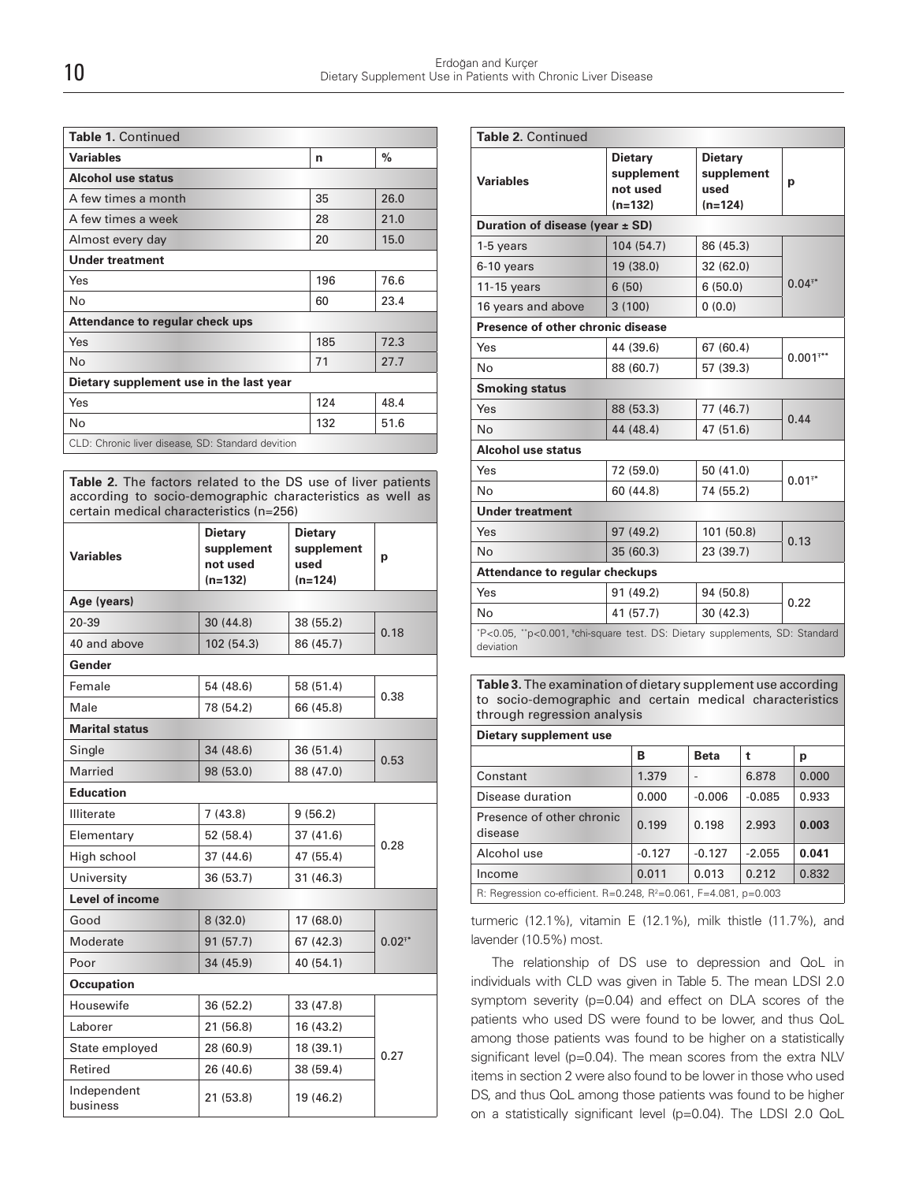| <b>Table 1. Continued</b>                         |     |      |  |
|---------------------------------------------------|-----|------|--|
| <b>Variables</b>                                  | n   | $\%$ |  |
| Alcohol use status                                |     |      |  |
| A few times a month                               | 35  | 26.0 |  |
| A few times a week                                | 28  | 21.0 |  |
| Almost every day                                  | 20  | 15.0 |  |
| <b>Under treatment</b>                            |     |      |  |
| Yes                                               | 196 | 76.6 |  |
| No                                                | 60  | 23.4 |  |
| Attendance to regular check ups                   |     |      |  |
| Yes                                               | 185 | 72.3 |  |
| No                                                | 71  | 27.7 |  |
| Dietary supplement use in the last year           |     |      |  |
| Yes                                               | 124 | 48.4 |  |
| No                                                | 132 | 51.6 |  |
| CLD: Chronic liver disease, SD: Standard devition |     |      |  |

**Table 2.** The factors related to the DS use of liver patients according to socio-demographic characteristics as well as certain medical characteristics (n=256)

| <b>Variables</b>        | <b>Dietary</b><br>supplement<br>not used<br>$(n=132)$ | <b>Dietary</b><br>supplement<br>used<br>$(n=124)$ | р        |  |
|-------------------------|-------------------------------------------------------|---------------------------------------------------|----------|--|
| Age (years)             |                                                       |                                                   |          |  |
| 20-39                   | 30(44.8)                                              | 38 (55.2)                                         | 0.18     |  |
| 40 and above            | 102 (54.3)                                            | 86 (45.7)                                         |          |  |
| Gender                  |                                                       |                                                   |          |  |
| Female                  | 54 (48.6)                                             | 58 (51.4)                                         | 0.38     |  |
| Male                    | 78 (54.2)                                             | 66 (45.8)                                         |          |  |
| <b>Marital status</b>   |                                                       |                                                   |          |  |
| Single                  | 34 (48.6)                                             | 36(51.4)                                          |          |  |
| Married                 | 98 (53.0)                                             | 88 (47.0)                                         | 0.53     |  |
| <b>Education</b>        |                                                       |                                                   |          |  |
| <b>Illiterate</b>       | 7(43.8)                                               | 9(56.2)                                           |          |  |
| Elementary              | 52 (58.4)                                             | 37(41.6)                                          | 0.28     |  |
| High school             | 37(44.6)                                              | 47 (55.4)                                         |          |  |
| University              | 36 (53.7)                                             | 31(46.3)                                          |          |  |
| <b>Level of income</b>  |                                                       |                                                   |          |  |
| Good                    | 8(32.0)                                               | 17(68.0)                                          |          |  |
| Moderate                | 91(57.7)                                              | 67 (42.3)                                         | $0.02**$ |  |
| Poor                    | 34 (45.9)                                             | 40 (54.1)                                         |          |  |
| <b>Occupation</b>       |                                                       |                                                   |          |  |
| Housewife               | 36 (52.2)                                             | 33 (47.8)                                         |          |  |
| Laborer                 | 21 (56.8)                                             | 16 (43.2)                                         |          |  |
| State employed          | 28 (60.9)                                             | 18 (39.1)                                         | 0.27     |  |
| Retired                 | 26 (40.6)                                             | 38 (59.4)                                         |          |  |
| Independent<br>business | 21 (53.8)                                             | 19 (46.2)                                         |          |  |

| Table 2. Continued                                                          |                                                       |                                                   |             |  |  |  |  |
|-----------------------------------------------------------------------------|-------------------------------------------------------|---------------------------------------------------|-------------|--|--|--|--|
| <b>Variables</b>                                                            | <b>Dietary</b><br>supplement<br>not used<br>$(n=132)$ | <b>Dietary</b><br>supplement<br>used<br>$(n=124)$ | p           |  |  |  |  |
|                                                                             | Duration of disease (year $\pm$ SD)                   |                                                   |             |  |  |  |  |
| 1-5 years                                                                   | 104 (54.7)                                            | 86 (45.3)                                         | $0.04^{**}$ |  |  |  |  |
| 6-10 years                                                                  | 19 (38.0)                                             | 32(62.0)                                          |             |  |  |  |  |
| $11-15$ years                                                               | 6(50)                                                 | 6(50.0)                                           |             |  |  |  |  |
| 16 years and above                                                          | 3(100)                                                | 0(0.0)                                            |             |  |  |  |  |
| Presence of other chronic disease                                           |                                                       |                                                   |             |  |  |  |  |
| Yes                                                                         | 44 (39.6)                                             | 67(60.4)                                          | $0.001***$  |  |  |  |  |
| No                                                                          | 88 (60.7)                                             | 57 (39.3)                                         |             |  |  |  |  |
| <b>Smoking status</b>                                                       |                                                       |                                                   |             |  |  |  |  |
| Yes                                                                         | 88 (53.3)                                             | 77(46.7)                                          | 0.44        |  |  |  |  |
| N <sub>0</sub>                                                              | 44 (48.4)                                             | 47 (51.6)                                         |             |  |  |  |  |
| <b>Alcohol use status</b>                                                   |                                                       |                                                   |             |  |  |  |  |
| Yes                                                                         | 72 (59.0)                                             | 50 (41.0)                                         | $0.01**$    |  |  |  |  |
| N <sub>o</sub>                                                              | 60 (44.8)                                             | 74 (55.2)                                         |             |  |  |  |  |
| <b>Under treatment</b>                                                      |                                                       |                                                   |             |  |  |  |  |
| Yes                                                                         | 97 (49.2)                                             | 101 (50.8)                                        | 0.13        |  |  |  |  |
| <b>No</b>                                                                   | 35(60.3)                                              | 23(39.7)                                          |             |  |  |  |  |
| <b>Attendance to regular checkups</b>                                       |                                                       |                                                   |             |  |  |  |  |
| Yes                                                                         | 91(49.2)                                              | 94 (50.8)                                         | 0.22        |  |  |  |  |
| No                                                                          | 41 (57.7)                                             | 30 (42.3)                                         |             |  |  |  |  |
| *P<0.05, **p<0.001, *chi-square test. DS: Dietary supplements, SD: Standard |                                                       |                                                   |             |  |  |  |  |

deviation

**Table 3.** The examination of dietary supplement use according to socio-demographic and certain medical characteristics through regression analysis

**Dietary supplement use**

|                                                                              | в        | <b>Beta</b> |          | р     |
|------------------------------------------------------------------------------|----------|-------------|----------|-------|
| Constant                                                                     | 1.379    |             | 6.878    | 0.000 |
| Disease duration                                                             | 0.000    | $-0.006$    | $-0.085$ | 0.933 |
| Presence of other chronic<br>disease                                         | 0.199    | 0.198       | 2.993    | 0.003 |
| Alcohol use                                                                  | $-0.127$ | $-0.127$    | $-2.055$ | 0.041 |
| Income                                                                       | 0.011    | 0.013       | 0.212    | 0.832 |
| R: Regression co-efficient. R=0.248, R <sup>2</sup> =0.061, F=4.081, p=0.003 |          |             |          |       |

turmeric (12.1%), vitamin E (12.1%), milk thistle (11.7%), and lavender (10.5%) most.

The relationship of DS use to depression and QoL in individuals with CLD was given in Table 5. The mean LDSI 2.0 symptom severity (p=0.04) and effect on DLA scores of the patients who used DS were found to be lower, and thus QoL among those patients was found to be higher on a statistically significant level (p=0.04). The mean scores from the extra NLV items in section 2 were also found to be lower in those who used DS, and thus QoL among those patients was found to be higher on a statistically significant level (p=0.04). The LDSI 2.0 QoL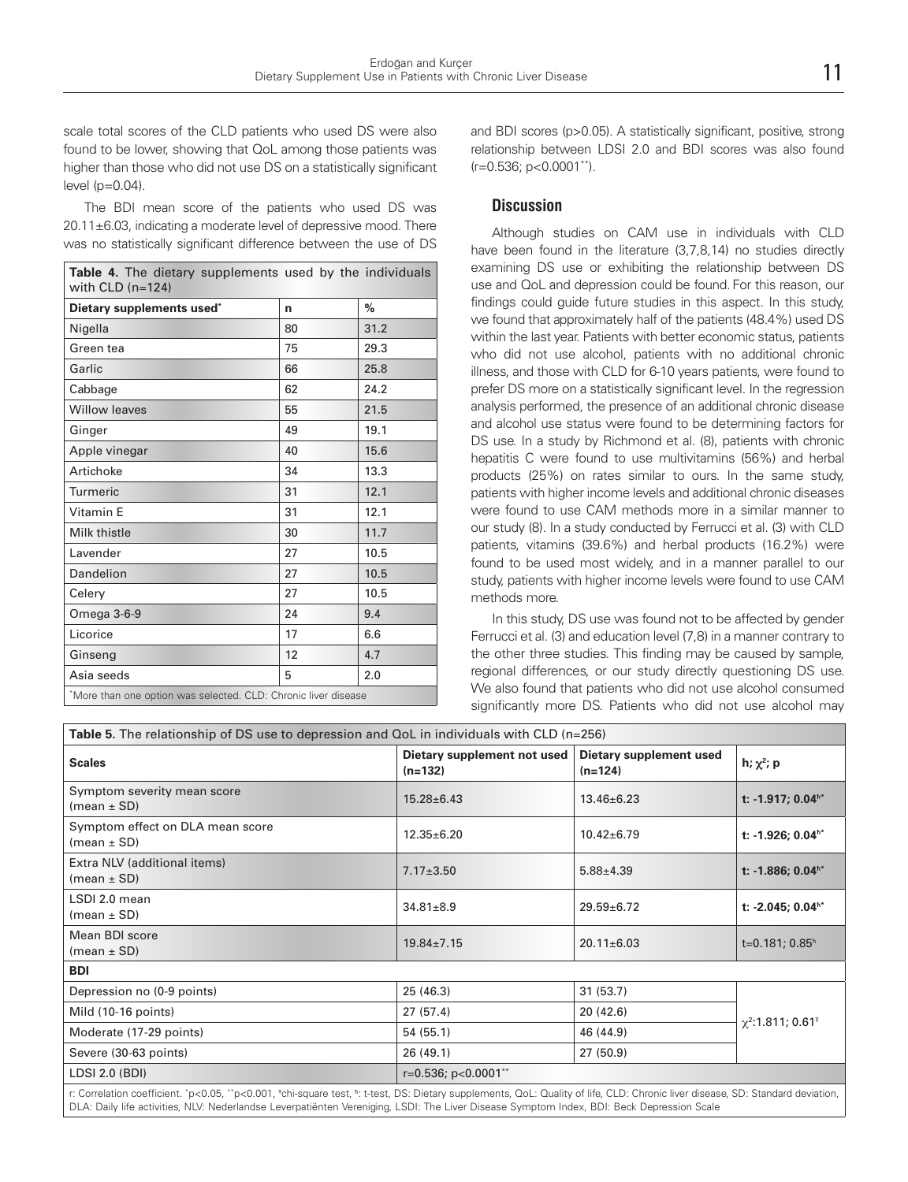scale total scores of the CLD patients who used DS were also found to be lower, showing that QoL among those patients was higher than those who did not use DS on a statistically significant level (p=0.04).

The BDI mean score of the patients who used DS was 20.11±6.03, indicating a moderate level of depressive mood. There was no statistically significant difference between the use of DS

| Table 4. The dietary supplements used by the individuals<br>with $CLD$ ( $n=124$ ) |    |               |  |
|------------------------------------------------------------------------------------|----|---------------|--|
| Dietary supplements used*                                                          | n  | $\frac{0}{2}$ |  |
| Nigella                                                                            | 80 | 31.2          |  |
| Green tea                                                                          | 75 | 29.3          |  |
| Garlic                                                                             | 66 | 25.8          |  |
| Cabbage                                                                            | 62 | 24.2          |  |
| <b>Willow leaves</b>                                                               | 55 | 21.5          |  |
| Ginger                                                                             | 49 | 19.1          |  |
| Apple vinegar                                                                      | 40 | 15.6          |  |
| Artichoke                                                                          | 34 | 13.3          |  |
| Turmeric                                                                           | 31 | 12.1          |  |
| Vitamin E                                                                          | 31 | 12.1          |  |
| Milk thistle                                                                       | 30 | 11.7          |  |
| Lavender                                                                           | 27 | 10.5          |  |
| Dandelion                                                                          | 27 | 10.5          |  |
| Celery                                                                             | 27 | 10.5          |  |
| Omega 3-6-9                                                                        | 24 | 9.4           |  |
| Licorice                                                                           | 17 | 6.6           |  |
| Ginseng                                                                            | 12 | 4.7           |  |
| Asia seeds                                                                         | 5  | 2.0           |  |
| *More than one option was selected. CLD: Chronic liver disease                     |    |               |  |

and BDI scores (p>0.05). A statistically significant, positive, strong relationship between LDSI 2.0 and BDI scores was also found (r=0.536; p<0.0001\*\*).

### **Discussion**

Although studies on CAM use in individuals with CLD have been found in the literature (3,7,8,14) no studies directly examining DS use or exhibiting the relationship between DS use and QoL and depression could be found. For this reason, our findings could guide future studies in this aspect. In this study, we found that approximately half of the patients (48.4%) used DS within the last year. Patients with better economic status, patients who did not use alcohol, patients with no additional chronic illness, and those with CLD for 6-10 years patients, were found to prefer DS more on a statistically significant level. In the regression analysis performed, the presence of an additional chronic disease and alcohol use status were found to be determining factors for DS use. In a study by Richmond et al. (8), patients with chronic hepatitis C were found to use multivitamins (56%) and herbal products (25%) on rates similar to ours. In the same study, patients with higher income levels and additional chronic diseases were found to use CAM methods more in a similar manner to our study (8). In a study conducted by Ferrucci et al. (3) with CLD patients, vitamins (39.6%) and herbal products (16.2%) were found to be used most widely, and in a manner parallel to our study, patients with higher income levels were found to use CAM methods more.

In this study, DS use was found not to be affected by gender Ferrucci et al. (3) and education level (7,8) in a manner contrary to the other three studies. This finding may be caused by sample, regional differences, or our study directly questioning DS use. We also found that patients who did not use alcohol consumed significantly more DS. Patients who did not use alcohol may

| Table 5. The relationship of DS use to depression and QoL in individuals with CLD (n=256)                                                                                 |                                          |                                      |                                    |  |  |
|---------------------------------------------------------------------------------------------------------------------------------------------------------------------------|------------------------------------------|--------------------------------------|------------------------------------|--|--|
| <b>Scales</b>                                                                                                                                                             | Dietary supplement not used<br>$(n=132)$ | Dietary supplement used<br>$(n=124)$ | h; $\chi^2$ ; p                    |  |  |
| Symptom severity mean score<br>(mean $\pm$ SD)                                                                                                                            | $15.28 \pm 6.43$                         | $13.46 \pm 6.23$                     | t: -1.917; $0.04$ <sup>h*</sup>    |  |  |
| Symptom effect on DLA mean score<br>(mean $\pm$ SD)                                                                                                                       | $12.35 \pm 6.20$                         | $10.42 \pm 6.79$                     | t: -1.926; $0.04$ <sup>**</sup>    |  |  |
| Extra NLV (additional items)<br>(mean $\pm$ SD)                                                                                                                           | $7.17 \pm 3.50$                          | $5.88 \pm 4.39$                      | t: -1.886; $0.04$ <sup>h*</sup>    |  |  |
| LSDI 2.0 mean<br>(mean $\pm$ SD)                                                                                                                                          | $34.81 \pm 8.9$                          | $29.59 \pm 6.72$                     | t: -2.045; $0.04$ <sup>h*</sup>    |  |  |
| Mean BDI score<br>(mean $\pm$ SD)                                                                                                                                         | $19.84 \pm 7.15$                         | $20.11 \pm 6.03$                     | $t=0.181; 0.85h$                   |  |  |
| <b>BDI</b>                                                                                                                                                                |                                          |                                      |                                    |  |  |
| Depression no (0-9 points)                                                                                                                                                | 25(46.3)                                 | 31(53.7)                             |                                    |  |  |
| Mild (10-16 points)                                                                                                                                                       | 27(57.4)                                 | 20 (42.6)                            | $\chi^2$ :1.811; 0.61 <sup>+</sup> |  |  |
| Moderate (17-29 points)                                                                                                                                                   | 54(55.1)                                 | 46 (44.9)                            |                                    |  |  |
| Severe (30-63 points)                                                                                                                                                     | 26(49.1)                                 | 27(50.9)                             |                                    |  |  |
| LDSI 2.0 (BDI)                                                                                                                                                            | $r=0.536$ ; $p<0.0001**$                 |                                      |                                    |  |  |
| r: Correlation coefficient "n<0.05" n<0.001 Tchi-square test by t-test DS; Dietary supplements, Ool ; Quality of life, CLD; Chronic liver disease, SD; Standard deviation |                                          |                                      |                                    |  |  |

r: Correlation coefficient. \* p<0.05, \*\*p<0.001, <sup>Ŧ</sup> chi-square test, <sup>ħ</sup> : t-test, DS: Dietary supplements, QoL: Quality of life, CLD: Chronic liver disease, SD: Standard deviation, DLA: Daily life activities, NLV: Nederlandse Leverpatiënten Vereniging, LSDI: The Liver Disease Symptom Index, BDI: Beck Depression Scale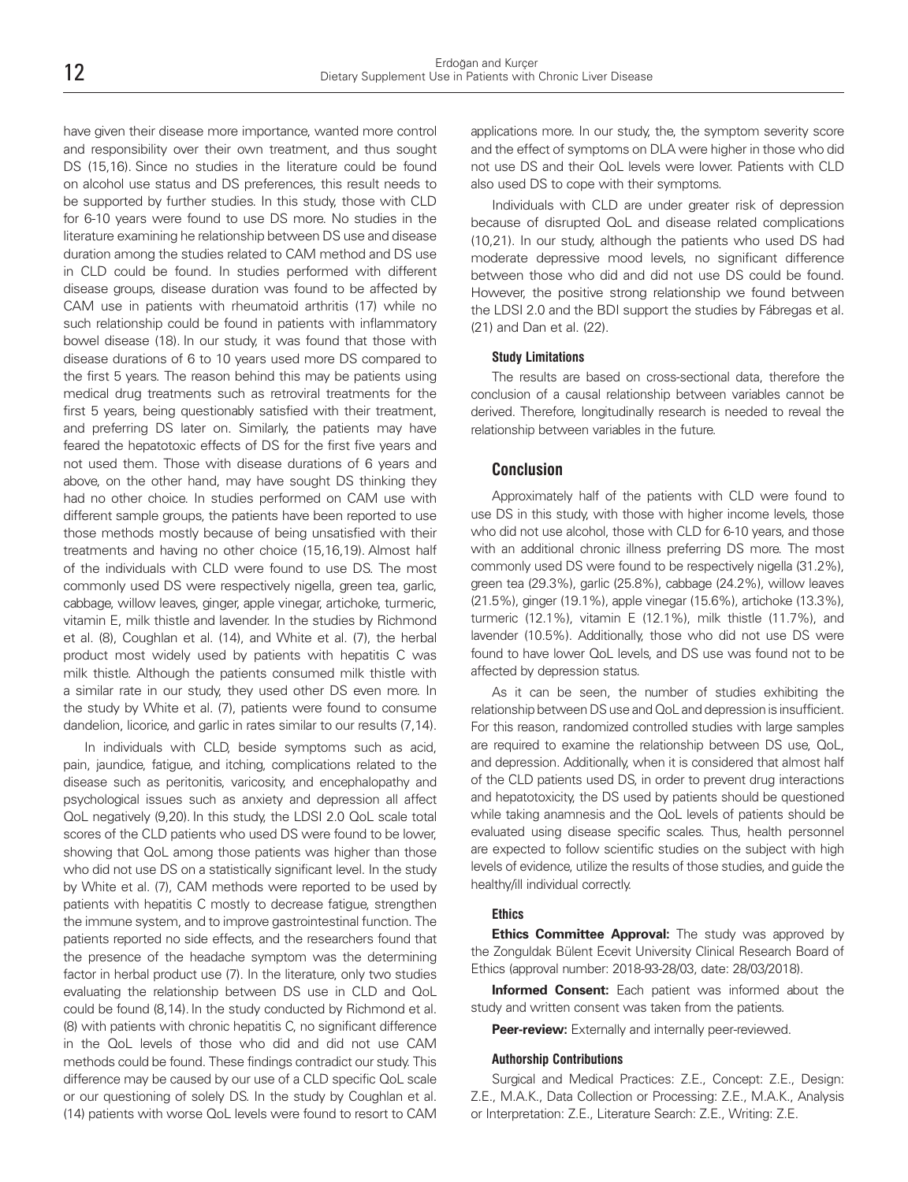have given their disease more importance, wanted more control and responsibility over their own treatment, and thus sought DS (15,16). Since no studies in the literature could be found on alcohol use status and DS preferences, this result needs to be supported by further studies. In this study, those with CLD for 6-10 years were found to use DS more. No studies in the literature examining he relationship between DS use and disease duration among the studies related to CAM method and DS use in CLD could be found. In studies performed with different disease groups, disease duration was found to be affected by CAM use in patients with rheumatoid arthritis (17) while no such relationship could be found in patients with inflammatory bowel disease (18). In our study, it was found that those with disease durations of 6 to 10 years used more DS compared to the first 5 years. The reason behind this may be patients using medical drug treatments such as retroviral treatments for the first 5 years, being questionably satisfied with their treatment, and preferring DS later on. Similarly, the patients may have feared the hepatotoxic effects of DS for the first five years and not used them. Those with disease durations of 6 years and above, on the other hand, may have sought DS thinking they had no other choice. In studies performed on CAM use with different sample groups, the patients have been reported to use those methods mostly because of being unsatisfied with their treatments and having no other choice (15,16,19). Almost half of the individuals with CLD were found to use DS. The most commonly used DS were respectively nigella, green tea, garlic, cabbage, willow leaves, ginger, apple vinegar, artichoke, turmeric, vitamin E, milk thistle and lavender. In the studies by Richmond et al. (8), Coughlan et al. (14), and White et al. (7), the herbal product most widely used by patients with hepatitis C was milk thistle. Although the patients consumed milk thistle with a similar rate in our study, they used other DS even more. In the study by White et al. (7), patients were found to consume dandelion, licorice, and garlic in rates similar to our results (7,14).

In individuals with CLD, beside symptoms such as acid, pain, jaundice, fatigue, and itching, complications related to the disease such as peritonitis, varicosity, and encephalopathy and psychological issues such as anxiety and depression all affect QoL negatively (9,20). In this study, the LDSI 2.0 QoL scale total scores of the CLD patients who used DS were found to be lower, showing that QoL among those patients was higher than those who did not use DS on a statistically significant level. In the study by White et al. (7), CAM methods were reported to be used by patients with hepatitis C mostly to decrease fatigue, strengthen the immune system, and to improve gastrointestinal function. The patients reported no side effects, and the researchers found that the presence of the headache symptom was the determining factor in herbal product use (7). In the literature, only two studies evaluating the relationship between DS use in CLD and QoL could be found (8,14). In the study conducted by Richmond et al. (8) with patients with chronic hepatitis C, no significant difference in the QoL levels of those who did and did not use CAM methods could be found. These findings contradict our study. This difference may be caused by our use of a CLD specific QoL scale or our questioning of solely DS. In the study by Coughlan et al. (14) patients with worse QoL levels were found to resort to CAM

applications more. In our study, the, the symptom severity score and the effect of symptoms on DLA were higher in those who did not use DS and their QoL levels were lower. Patients with CLD also used DS to cope with their symptoms.

Individuals with CLD are under greater risk of depression because of disrupted QoL and disease related complications (10,21). In our study, although the patients who used DS had moderate depressive mood levels, no significant difference between those who did and did not use DS could be found. However, the positive strong relationship we found between the LDSI 2.0 and the BDI support the studies by Fábregas et al. (21) and Dan et al. (22).

#### **Study Limitations**

The results are based on cross-sectional data, therefore the conclusion of a causal relationship between variables cannot be derived. Therefore, longitudinally research is needed to reveal the relationship between variables in the future.

#### **Conclusion**

Approximately half of the patients with CLD were found to use DS in this study, with those with higher income levels, those who did not use alcohol, those with CLD for 6-10 years, and those with an additional chronic illness preferring DS more. The most commonly used DS were found to be respectively nigella (31.2%), green tea (29.3%), garlic (25.8%), cabbage (24.2%), willow leaves (21.5%), ginger (19.1%), apple vinegar (15.6%), artichoke (13.3%), turmeric (12.1%), vitamin E (12.1%), milk thistle (11.7%), and lavender (10.5%). Additionally, those who did not use DS were found to have lower QoL levels, and DS use was found not to be affected by depression status.

As it can be seen, the number of studies exhibiting the relationship between DS use and QoL and depression is insufficient. For this reason, randomized controlled studies with large samples are required to examine the relationship between DS use, QoL, and depression. Additionally, when it is considered that almost half of the CLD patients used DS, in order to prevent drug interactions and hepatotoxicity, the DS used by patients should be questioned while taking anamnesis and the QoL levels of patients should be evaluated using disease specific scales. Thus, health personnel are expected to follow scientific studies on the subject with high levels of evidence, utilize the results of those studies, and guide the healthy/ill individual correctly.

#### **Ethics**

**Ethics Committee Approval:** The study was approved by the Zonguldak Bülent Ecevit University Clinical Research Board of Ethics (approval number: 2018-93-28/03, date: 28/03/2018).

**Informed Consent:** Each patient was informed about the study and written consent was taken from the patients.

**Peer-review:** Externally and internally peer-reviewed.

#### **Authorship Contributions**

Surgical and Medical Practices: Z.E., Concept: Z.E., Design: Z.E., M.A.K., Data Collection or Processing: Z.E., M.A.K., Analysis or Interpretation: Z.E., Literature Search: Z.E., Writing: Z.E.